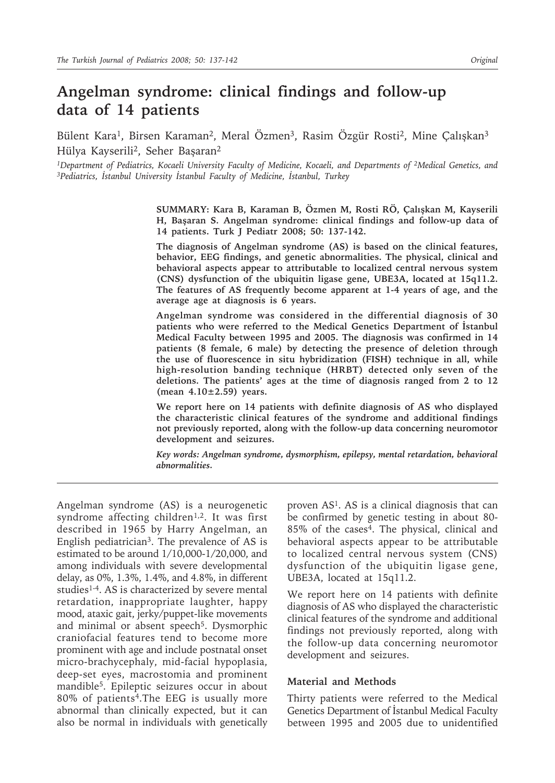# **Angelman syndrome: clinical findings and follow-up data of 14 patients**

Bülent Kara<sup>1</sup>, Birsen Karaman<sup>2</sup>, Meral Özmen<sup>3</sup>, Rasim Özgür Rosti<sup>2</sup>, Mine Çalışkan<sup>3</sup> Hülya Kayserili2, Seher Başaran2

*1Department of Pediatrics, Kocaeli University Faculty of Medicine, Kocaeli, and Departments of 2Medical Genetics, and 3Pediatrics, İstanbul University İstanbul Faculty of Medicine, İstanbul, Turkey*

> **SUMMARY: Kara B, Karaman B, Özmen M, Rosti RÖ, Çalışkan M, Kayserili H, Başaran S. Angelman syndrome: clinical findings and follow-up data of 14 patients. Turk J Pediatr 2008; 50: 137-142.**

> **The diagnosis of Angelman syndrome (AS) is based on the clinical features, behavior, EEG findings, and genetic abnormalities. The physical, clinical and behavioral aspects appear to attributable to localized central nervous system (CNS) dysfunction of the ubiquitin ligase gene, UBE3A, located at 15q11.2. The features of AS frequently become apparent at 1-4 years of age, and the average age at diagnosis is 6 years.**

> **Angelman syndrome was considered in the differential diagnosis of 30 patients who were referred to the Medical Genetics Department of İstanbul Medical Faculty between 1995 and 2005. The diagnosis was confirmed in 14 patients (8 female, 6 male) by detecting the presence of deletion through the use of fluorescence in situ hybridization (FISH) technique in all, while high-resolution banding technique (HRBT) detected only seven of the deletions. The patients' ages at the time of diagnosis ranged from 2 to 12 (mean 4.10±2.59) years.**

> **We report here on 14 patients with definite diagnosis of AS who displayed the characteristic clinical features of the syndrome and additional findings not previously reported, along with the follow-up data concerning neuromotor development and seizures.**

> *Key words: Angelman syndrome, dysmorphism, epilepsy, mental retardation, behavioral abnormalities.*

Angelman syndrome (AS) is a neurogenetic syndrome affecting children<sup>1,2</sup>. It was first described in 1965 by Harry Angelman, an English pediatrician3. The prevalence of AS is estimated to be around 1/10,000-1/20,000, and among individuals with severe developmental delay, as 0%, 1.3%, 1.4%, and 4.8%, in different studies<sup>1-4</sup>. AS is characterized by severe mental retardation, inappropriate laughter, happy mood, ataxic gait, jerky/puppet-like movements and minimal or absent speech<sup>5</sup>. Dysmorphic craniofacial features tend to become more prominent with age and include postnatal onset micro-brachycephaly, mid-facial hypoplasia, deep-set eyes, macrostomia and prominent mandible5. Epileptic seizures occur in about 80% of patients4.The EEG is usually more abnormal than clinically expected, but it can also be normal in individuals with genetically

proven AS1. AS is a clinical diagnosis that can be confirmed by genetic testing in about 80- 85% of the cases4. The physical, clinical and behavioral aspects appear to be attributable to localized central nervous system (CNS) dysfunction of the ubiquitin ligase gene, UBE3A, located at 15q11.2.

We report here on 14 patients with definite diagnosis of AS who displayed the characteristic clinical features of the syndrome and additional findings not previously reported, along with the follow-up data concerning neuromotor development and seizures.

### **Material and Methods**

Thirty patients were referred to the Medical Genetics Department of İstanbul Medical Faculty between 1995 and 2005 due to unidentified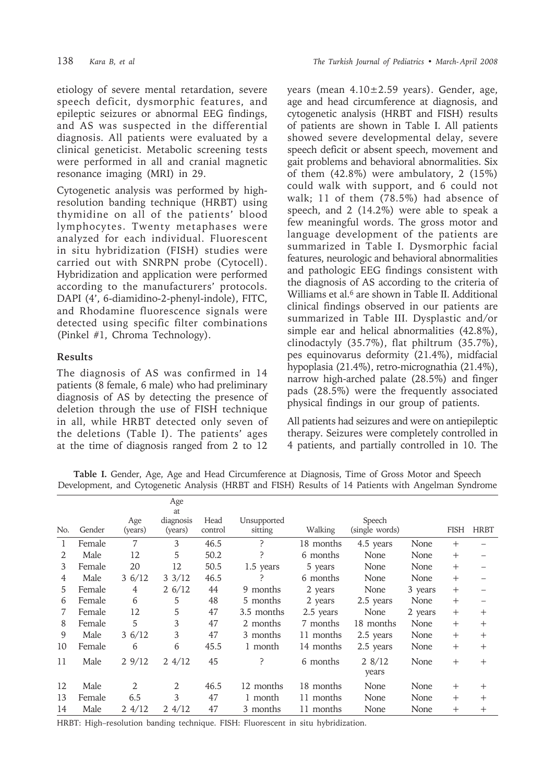etiology of severe mental retardation, severe speech deficit, dysmorphic features, and epileptic seizures or abnormal EEG findings, and AS was suspected in the differential diagnosis. All patients were evaluated by a clinical geneticist. Metabolic screening tests were performed in all and cranial magnetic resonance imaging (MRI) in 29.

Cytogenetic analysis was performed by highresolution banding technique (HRBT) using thymidine on all of the patients' blood lymphocytes. Twenty metaphases were analyzed for each individual. Fluorescent in situ hybridization (FISH) studies were carried out with SNRPN probe (Cytocell). Hybridization and application were performed according to the manufacturers' protocols. DAPI (4', 6-diamidino-2-phenyl-indole), FITC, and Rhodamine fluorescence signals were detected using specific filter combinations (Pinkel #1, Chroma Technology).

## **Results**

The diagnosis of AS was confirmed in 14 patients (8 female, 6 male) who had preliminary diagnosis of AS by detecting the presence of deletion through the use of FISH technique in all, while HRBT detected only seven of the deletions (Table I). The patients' ages at the time of diagnosis ranged from 2 to 12

years (mean 4.10±2.59 years). Gender, age, age and head circumference at diagnosis, and cytogenetic analysis (HRBT and FISH) results of patients are shown in Table I. All patients showed severe developmental delay, severe speech deficit or absent speech, movement and gait problems and behavioral abnormalities. Six of them (42.8%) were ambulatory, 2 (15%) could walk with support, and 6 could not walk; 11 of them (78.5%) had absence of speech, and 2 (14.2%) were able to speak a few meaningful words. The gross motor and language development of the patients are summarized in Table I. Dysmorphic facial features, neurologic and behavioral abnormalities and pathologic EEG findings consistent with the diagnosis of AS according to the criteria of Williams et al.<sup>6</sup> are shown in Table II. Additional clinical findings observed in our patients are summarized in Table III. Dysplastic and/or simple ear and helical abnormalities (42.8%), clinodactyly (35.7%), flat philtrum (35.7%), pes equinovarus deformity (21.4%), midfacial hypoplasia (21.4%), retro-micrognathia (21.4%), narrow high-arched palate (28.5%) and finger pads (28.5%) were the frequently associated physical findings in our group of patients.

All patients had seizures and were on antiepileptic therapy. Seizures were completely controlled in 4 patients, and partially controlled in 10. The

**Table I.** Gender, Age, Age and Head Circumference at Diagnosis, Time of Gross Motor and Speech Development, and Cytogenetic Analysis (HRBT and FISH) Results of 14 Patients with Angelman Syndrome

|                |        |                | Age<br>at            |                 |                        |           |                          |         |             |                |
|----------------|--------|----------------|----------------------|-----------------|------------------------|-----------|--------------------------|---------|-------------|----------------|
| No.            | Gender | Age<br>(years) | diagnosis<br>(years) | Head<br>control | Unsupported<br>sitting | Walking   | Speech<br>(single words) |         | <b>FISH</b> | <b>HRBT</b>    |
| 1              | Female | $\overline{7}$ | 3                    | 46.5            | P                      | 18 months | 4.5 years                | None    | $^{+}$      |                |
| $\mathfrak{D}$ | Male   | 12             | 5                    | 50.2            | ?                      | 6 months  | None                     | None    | $^{+}$      |                |
| 3              | Female | 20             | 12                   | 50.5            | 1.5 years              | 5 years   | None                     | None    | $^{+}$      |                |
| 4              | Male   | 36/12          | $3 \frac{3}{12}$     | 46.5            | P                      | 6 months  | None                     | None    | $^{+}$      |                |
| 5.             | Female | 4              | 26/12                | 44              | 9 months               | 2 years   | None                     | 3 years | $^{+}$      |                |
| 6              | Female | 6              | 5                    | 48              | 5 months               | 2 years   | 2.5 years                | None    | $^{+}$      |                |
| 7              | Female | 12             | 5                    | 47              | 3.5 months             | 2.5 years | None                     | 2 years | $^{+}$      | $^{+}$         |
| 8              | Female | 5              | 3                    | 47              | 2 months               | 7 months  | 18 months                | None    | $^{+}$      | $^{+}$         |
| 9              | Male   | 36/12          | 3                    | 47              | 3 months               | 11 months | 2.5 years                | None    | $^{+}$      | $^{+}$         |
| 10             | Female | 6              | 6                    | 45.5            | 1 month                | 14 months | 2.5 years                | None    | $+$         | $+$            |
| 11             | Male   | 29/12          | $2 \frac{4}{12}$     | 45              | ?                      | 6 months  | 28/12<br>years           | None    | $^{+}$      | $^{+}$         |
| 12             | Male   | 2              | 2                    | 46.5            | 12 months              | 18 months | None                     | None    | $^{+}$      | $\overline{+}$ |
| 13             | Female | 6.5            | 3                    | 47              | 1 month                | 11 months | None                     | None    | $^{+}$      | $^{+}$         |
| 14             | Male   | 24/12          | 24/12                | 47              | 3 months               | 11 months | None                     | None    | $^{+}$      | $^{+}$         |

HRBT: High–resolution banding technique. FISH: Fluorescent in situ hybridization.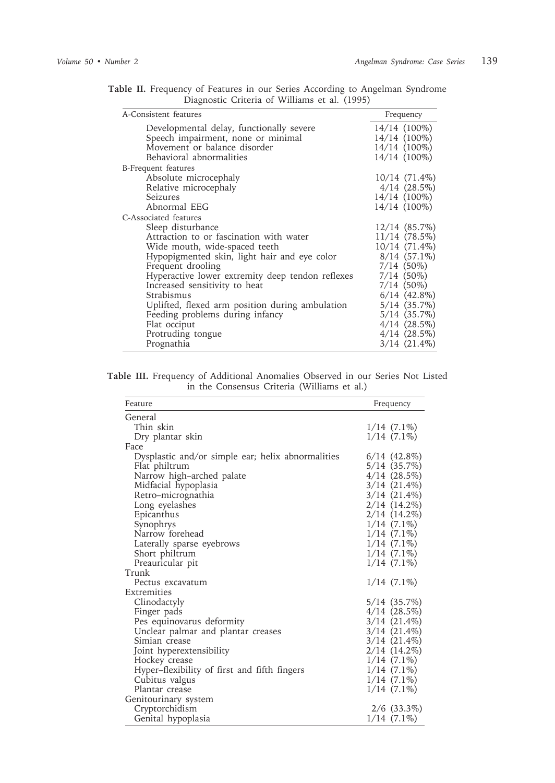| A-Consistent features                                                                                                                                                                                                                                                                                                                                                                                                                   | Frequency                                                                                                                                                                                                                                                 |
|-----------------------------------------------------------------------------------------------------------------------------------------------------------------------------------------------------------------------------------------------------------------------------------------------------------------------------------------------------------------------------------------------------------------------------------------|-----------------------------------------------------------------------------------------------------------------------------------------------------------------------------------------------------------------------------------------------------------|
| Developmental delay, functionally severe<br>Speech impairment, none or minimal<br>Movement or balance disorder<br>Behavioral abnormalities                                                                                                                                                                                                                                                                                              | 14/14 (100%)<br>14/14 (100%)<br>14/14 (100%)<br>14/14 (100%)                                                                                                                                                                                              |
| B-Frequent features<br>Absolute microcephaly<br>Relative microcephaly<br>Seizures<br>Abnormal EEG                                                                                                                                                                                                                                                                                                                                       | $10/14$ $(71.4\%)$<br>$4/14$ $(28.5\%)$<br>14/14 (100%)<br>14/14 (100%)                                                                                                                                                                                   |
| C-Associated features<br>Sleep disturbance<br>Attraction to or fascination with water<br>Wide mouth, wide-spaced teeth<br>Hypopigmented skin, light hair and eye color<br>Frequent drooling<br>Hyperactive lower extremity deep tendon reflexes<br>Increased sensitivity to heat<br>Strabismus<br>Uplifted, flexed arm position during ambulation<br>Feeding problems during infancy<br>Flat occiput<br>Protruding tongue<br>Prognathia | $12/14$ $(85.7\%)$<br>$11/14$ (78.5%)<br>10/14 (71.4%)<br>$8/14$ (57.1%)<br>$7/14$ $(50\%)$<br>$7/14$ (50%)<br>$7/14$ (50%)<br>$6/14$ $(42.8\%)$<br>$5/14$ $(35.7\%)$<br>$5/14$ $(35.7\%)$<br>$4/14$ $(28.5\%)$<br>$4/14$ $(28.5\%)$<br>$3/14$ $(21.4\%)$ |

**Table II.** Frequency of Features in our Series According to Angelman Syndrome Diagnostic Criteria of Williams et al. (1995)

|  | Table III. Frequency of Additional Anomalies Observed in our Series Not Listed |  |                                             |  |  |  |
|--|--------------------------------------------------------------------------------|--|---------------------------------------------|--|--|--|
|  |                                                                                |  | in the Consensus Criteria (Williams et al.) |  |  |  |

| Feature                                           | Frequency         |
|---------------------------------------------------|-------------------|
| General                                           |                   |
| Thin skin                                         | $1/14$ $(7.1\%)$  |
| Dry plantar skin                                  | $1/14$ $(7.1\%)$  |
| Face                                              |                   |
| Dysplastic and/or simple ear; helix abnormalities | $6/14$ $(42.8\%)$ |
| Flat philtrum                                     | 5/14 (35.7%)      |
| Narrow high-arched palate                         | 4/14(28.5%)       |
| Midfacial hypoplasia                              | $3/14$ $(21.4\%)$ |
| Retro-micrognathia                                | $3/14$ $(21.4\%)$ |
| Long eyelashes                                    | $2/14$ $(14.2\%)$ |
| Epicanthus                                        | $2/14(14.2\%)$    |
| Synophrys                                         | $1/14$ $(7.1\%)$  |
| Narrow forehead                                   | $1/14$ $(7.1\%)$  |
| Laterally sparse eyebrows                         | $1/14(7.1\%)$     |
| Short philtrum                                    | $1/14$ $(7.1\%)$  |
| Preauricular pit                                  | $1/14$ $(7.1\%)$  |
| Trunk                                             |                   |
| Pectus excavatum                                  | $1/14$ $(7.1\%)$  |
| Extremities                                       |                   |
| Clinodactyly                                      | 5/14 (35.7%)      |
| Finger pads                                       | $4/14$ $(28.5\%)$ |
| Pes equinovarus deformity                         | $3/14$ $(21.4\%)$ |
| Unclear palmar and plantar creases                | $3/14$ $(21.4\%)$ |
| Simian crease                                     | $3/14$ $(21.4\%)$ |
| Joint hyperextensibility                          | $2/14(14.2\%)$    |
| Hockey crease                                     | $1/14$ $(7.1\%)$  |
| Hyper–flexibility of first and fifth fingers      | $1/14$ $(7.1\%)$  |
| Cubitus valgus                                    | $1/14$ $(7.1\%)$  |
| Plantar crease                                    | $1/14$ $(7.1\%)$  |
| Genitourinary system                              |                   |
| Cryptorchidism                                    | $2/6$ (33.3%)     |
| Genital hypoplasia                                | $1/14$ $(7.1\%)$  |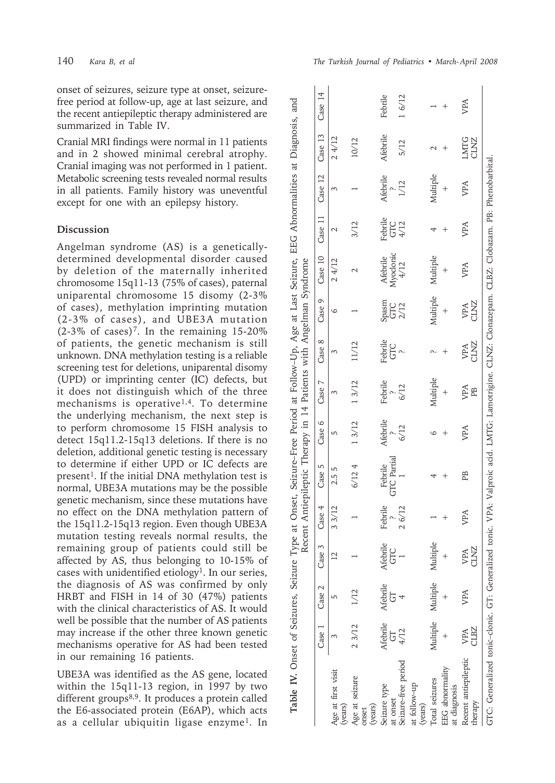onset of seizures, seizure type at onset, seizurefree period at follow-up, age at last seizure, and the recent antiepileptic therapy administered are summarized in Table IV.

Cranial MRI findings were normal in 11 patients and in 2 showed minimal cerebral atrophy. Cranial imaging was not performed in 1 patient. Metabolic screening tests revealed normal results in all patients. Family history was uneventful except for one with an epilepsy history.

## **Discussion**

Angelman syndrome (AS) is a geneticallydetermined developmental disorder caused by deletion of the maternally inherited chromosome 15q11-13 (75% of cases), paternal uniparental chromosome 15 disomy (2-3% of cases), methylation imprinting mutation (2-3% of cases), and UBE3A mutation  $(2-3\% \text{ of cases})^7$ . In the remaining 15-20% of patients, the genetic mechanism is still unknown. DNA methylation testing is a reliable screening test for deletions, uniparental disomy (UPD) or imprinting center (IC) defects, but it does not distinguish which of the three mechanisms is operative<sup>1,4</sup>. To determine the underlying mechanism, the next step is to perform chromosome 15 FISH analysis to detect 15q11.2-15q13 deletions. If there is no deletion, additional genetic testing is necessary to determine if either UPD or IC defects are present<sup>1</sup>. If the initial DNA methylation test is normal, UBE3A mutations may be the possible genetic mechanism, since these mutations have no effect on the DNA methylation pattern of the 15q11.2-15q13 region. Even though UBE3A mutation testing reveals normal results, the remaining group of patients could still be affected by AS, thus belonging to 10-15% of cases with unidentified etiology<sup>1</sup>. In our series, the diagnosis of AS was confirmed by only HRBT and FISH in 14 of 30 (47%) patients with the clinical characteristics of AS. It would well be possible that the number of AS patients may increase if the other three known genetic mechanisms operative for AS had been tested in our remaining 16 patients.

UBE3A was identified as the AS gene, located within the 15q11-13 region, in 1997 by two different groups<sup>8,9</sup>. It produces a protein called the E6-associated protein (E6AP), which acts as a cellular ubiquitin ligase enzyme<sup>1</sup>. In

| Table IV. Onset of Seizures, Seizure Type at Onset, Seizure-Free Period at Follow-Up, Age at Last Seizure, EEG Abnormalities at Diagnosis, and   |                    |                            |                     |         | Recent Antiepileptic Therapy in 14 Patients with Angelman Syndrome |          |                             |                |                                                                    |                              |                          |          |                     |         |
|--------------------------------------------------------------------------------------------------------------------------------------------------|--------------------|----------------------------|---------------------|---------|--------------------------------------------------------------------|----------|-----------------------------|----------------|--------------------------------------------------------------------|------------------------------|--------------------------|----------|---------------------|---------|
|                                                                                                                                                  | Case <sub>1</sub>  | Case 2                     | Case 3              | Case 4  | Case 5                                                             | Case 6   | Case 7                      | Case 8         | Case 9                                                             | Case 10                      | Case 11                  | Case 12  | Case 13             | Case 14 |
| Age at first visit<br>(years)                                                                                                                    |                    |                            |                     | 33/12   | 2.55                                                               | 5        | 3                           |                | 6                                                                  | 24/12                        |                          | ξ        | 24/12               |         |
| Age at seizure<br>(years)<br>onset                                                                                                               | 23/12              |                            |                     |         | 6/124                                                              | 13/12    | 13/12                       |                |                                                                    |                              | 3/12                     |          | 10/12               |         |
| Seizure type<br>at onset                                                                                                                         | 5                  | Afebrile Afebrile<br>5     | Afebrile<br>GTC     | Febrile | <b>GTC</b> Partial<br>Febrile                                      | Afebrile | Febrile<br>$\frac{?}{6/12}$ | Febrile<br>GTC | $\begin{array}{c} \rm{Spasm} \\ \rm{GTC} \\ \rm{2/12} \end{array}$ | Afebrile<br>Myodonic<br>4/12 | Febrile<br>GTC<br>$4/12$ | Afebrile | Afebrile            | Febrile |
| Seizure-free period                                                                                                                              | 4/12               |                            |                     | 26/12   |                                                                    | 6/12     |                             |                |                                                                    |                              |                          | 1/12     | 5/12                | 16/12   |
| at follow-up<br>(years)                                                                                                                          |                    |                            |                     |         |                                                                    |          |                             |                |                                                                    |                              |                          |          |                     |         |
| Total seizures                                                                                                                                   |                    | Multiple Multiple Multiple |                     |         |                                                                    | G        | Multiple                    |                | Multiple                                                           | Multiple                     |                          | Multiple |                     |         |
| <b>EEG</b> abnormality<br>at diagnosis                                                                                                           |                    |                            |                     |         |                                                                    |          |                             |                |                                                                    |                              |                          |          |                     |         |
| Recent antiepileptic<br>herapy                                                                                                                   | <b>JLBZ</b><br>VPA | VPA                        | <b>CLANZ</b><br>VPA | VPA     | PB                                                                 | VPA      | VPA<br>PB                   | VPA<br>CLNZ    | VPA<br>CLNZ                                                        | VPA                          | VPA                      | VPA      | <b>LMTG</b><br>CLNZ | VPA     |
| GTC: Generalized tonic-clonic. GT: Generalized tonic. VPA: Valproic acid. LMTG: Lamotrigine. CLNZ: Clonazepam. CLBZ: Clobazam. PB: Phenobarbital |                    |                            |                     |         |                                                                    |          |                             |                |                                                                    |                              |                          |          |                     |         |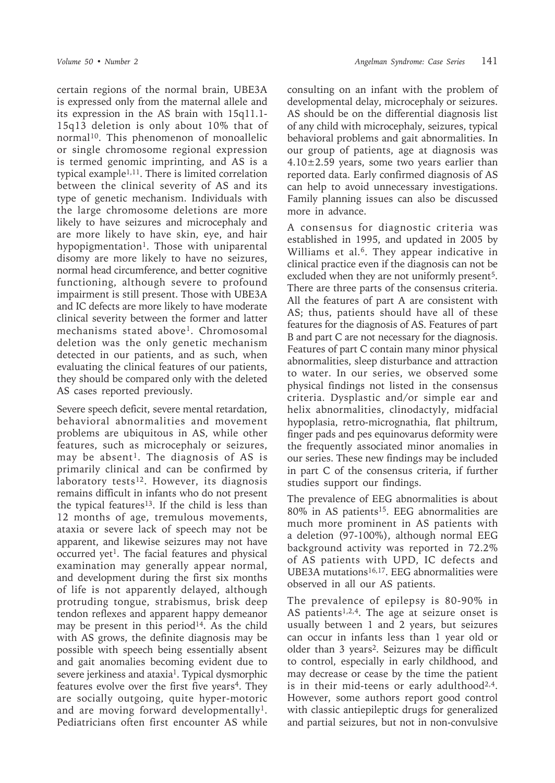certain regions of the normal brain, UBE3A is expressed only from the maternal allele and its expression in the AS brain with 15q11.1- 15q13 deletion is only about 10% that of normal<sup>10</sup>. This phenomenon of monoallelic or single chromosome regional expression is termed genomic imprinting, and AS is a typical example1,11. There is limited correlation between the clinical severity of AS and its type of genetic mechanism. Individuals with the large chromosome deletions are more likely to have seizures and microcephaly and are more likely to have skin, eye, and hair hypopigmentation<sup>1</sup>. Those with uniparental disomy are more likely to have no seizures, normal head circumference, and better cognitive functioning, although severe to profound impairment is still present. Those with UBE3A and IC defects are more likely to have moderate clinical severity between the former and latter mechanisms stated above<sup>1</sup>. Chromosomal deletion was the only genetic mechanism detected in our patients, and as such, when evaluating the clinical features of our patients, they should be compared only with the deleted AS cases reported previously.

Severe speech deficit, severe mental retardation, behavioral abnormalities and movement problems are ubiquitous in AS, while other features, such as microcephaly or seizures, may be absent<sup>1</sup>. The diagnosis of AS is primarily clinical and can be confirmed by laboratory tests<sup>12</sup>. However, its diagnosis remains difficult in infants who do not present the typical features<sup>13</sup>. If the child is less than 12 months of age, tremulous movements, ataxia or severe lack of speech may not be apparent, and likewise seizures may not have occurred yet<sup>1</sup>. The facial features and physical examination may generally appear normal, and development during the first six months of life is not apparently delayed, although protruding tongue, strabismus, brisk deep tendon reflexes and apparent happy demeanor may be present in this period<sup>14</sup>. As the child with AS grows, the definite diagnosis may be possible with speech being essentially absent and gait anomalies becoming evident due to severe jerkiness and ataxia<sup>1</sup>. Typical dysmorphic features evolve over the first five years<sup>4</sup>. They are socially outgoing, quite hyper-motoric and are moving forward developmentally<sup>1</sup>. Pediatricians often first encounter AS while

consulting on an infant with the problem of developmental delay, microcephaly or seizures. AS should be on the differential diagnosis list of any child with microcephaly, seizures, typical behavioral problems and gait abnormalities. In our group of patients, age at diagnosis was  $4.10\pm2.59$  years, some two years earlier than reported data. Early confirmed diagnosis of AS can help to avoid unnecessary investigations. Family planning issues can also be discussed more in advance.

A consensus for diagnostic criteria was established in 1995, and updated in 2005 by Williams et al.<sup>6</sup>. They appear indicative in clinical practice even if the diagnosis can not be excluded when they are not uniformly present<sup>5</sup>. There are three parts of the consensus criteria. All the features of part A are consistent with AS; thus, patients should have all of these features for the diagnosis of AS. Features of part B and part C are not necessary for the diagnosis. Features of part C contain many minor physical abnormalities, sleep disturbance and attraction to water. In our series, we observed some physical findings not listed in the consensus criteria. Dysplastic and/or simple ear and helix abnormalities, clinodactyly, midfacial hypoplasia, retro-micrognathia, flat philtrum, finger pads and pes equinovarus deformity were the frequently associated minor anomalies in our series. These new findings may be included in part C of the consensus criteria, if further studies support our findings.

The prevalence of EEG abnormalities is about  $80\%$  in AS patients<sup>15</sup>. EEG abnormalities are much more prominent in AS patients with a deletion (97-100%), although normal EEG background activity was reported in 72.2% of AS patients with UPD, IC defects and UBE3A mutations<sup>16,17</sup>. EEG abnormalities were observed in all our AS patients.

The prevalence of epilepsy is 80-90% in AS patients<sup>1,2,4</sup>. The age at seizure onset is usually between 1 and 2 years, but seizures can occur in infants less than 1 year old or older than 3 years2. Seizures may be difficult to control, especially in early childhood, and may decrease or cease by the time the patient is in their mid-teens or early adulthood<sup>2,4</sup>. However, some authors report good control with classic antiepileptic drugs for generalized and partial seizures, but not in non-convulsive